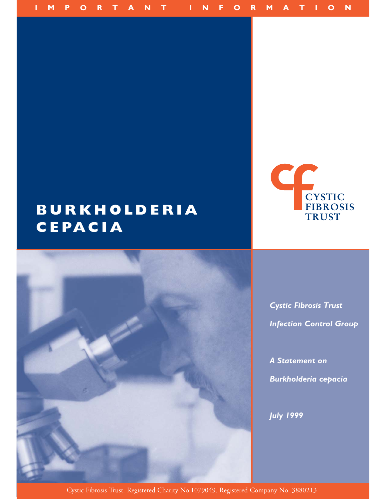

# **BURKHOLDERIA CEPACIA**



*Cystic Fibrosis Trust Infection Control Group*

*A Statement on Burkholderia cepacia*

*July 1999*

Cystic Fibrosis Trust. Registered Charity No.1079049. Registered Company No. 3880213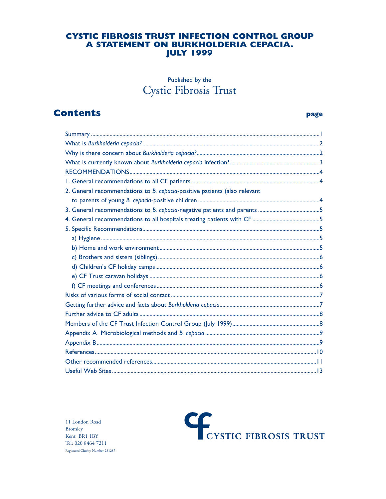# **CYSTIC FIBROSIS TRUST INFECTION CONTROL GROUP** A STATEMENT ON BURKHOLDERIA CEPACIA. **JULY 1999**

# Published by the Cystic Fibrosis Trust

# **Contents**

#### page

| 2. General recommendations to B. cepacia-positive patients (also relevant |  |  |  |
|---------------------------------------------------------------------------|--|--|--|
|                                                                           |  |  |  |
|                                                                           |  |  |  |
|                                                                           |  |  |  |
|                                                                           |  |  |  |
|                                                                           |  |  |  |
|                                                                           |  |  |  |
|                                                                           |  |  |  |
|                                                                           |  |  |  |
|                                                                           |  |  |  |
|                                                                           |  |  |  |
|                                                                           |  |  |  |
|                                                                           |  |  |  |
|                                                                           |  |  |  |
|                                                                           |  |  |  |
|                                                                           |  |  |  |
|                                                                           |  |  |  |
|                                                                           |  |  |  |
|                                                                           |  |  |  |
|                                                                           |  |  |  |

 $11$  London Road **Bromley** Kent BR1 1BY Tel: 020 8464 7211 Registered Charity Number 281287

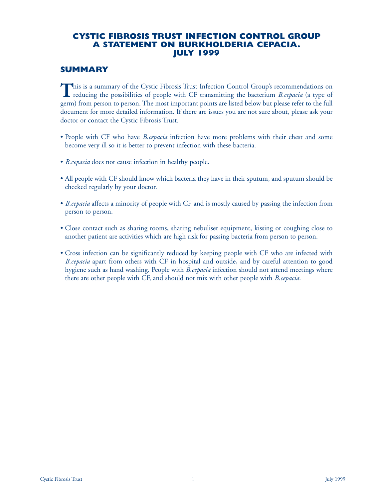# **CYSTIC FIBROSIS TRUST INFECTION CONTROL GROUP A STATEMENT ON BURKHOLDERIA CEPACIA. JULY 1999**

# **SUMMARY**

This is a summary of the Cystic Fibrosis Trust Infection Control Group's recommendations on reducing the possibilities of people with CF transmitting the bacterium *B.cepacia* (a type of germ) from person to person. The most important points are listed below but please refer to the full document for more detailed information. If there are issues you are not sure about, please ask your doctor or contact the Cystic Fibrosis Trust.

- People with CF who have *B.cepacia* infection have more problems with their chest and some become very ill so it is better to prevent infection with these bacteria.
- *B.cepacia* does not cause infection in healthy people.
- All people with CF should know which bacteria they have in their sputum, and sputum should be checked regularly by your doctor.
- *B.cepacia* affects a minority of people with CF and is mostly caused by passing the infection from person to person.
- Close contact such as sharing rooms, sharing nebuliser equipment, kissing or coughing close to another patient are activities which are high risk for passing bacteria from person to person.
- Cross infection can be significantly reduced by keeping people with CF who are infected with *B.cepacia* apart from others with CF in hospital and outside, and by careful attention to good hygiene such as hand washing. People with *B.cepacia* infection should not attend meetings where there are other people with CF, and should not mix with other people with *B.cepacia.*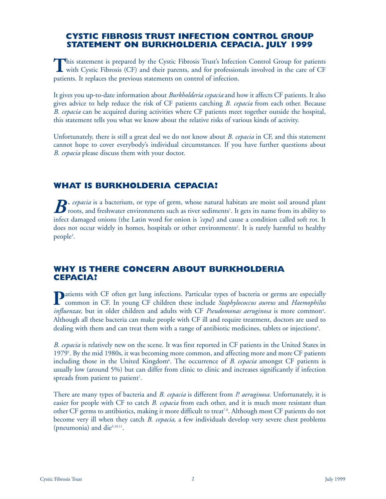# **CYSTIC FIBROSIS TRUST INFECTION CONTROL GROUP STATEMENT ON BURKHOLDERIA CEPACIA. JULY 1999**

This statement is prepared by the Cystic Fibrosis Trust's Infection Control Group for patients<br>with Cystic Fibrosis (CF) and their parents, and for professionals involved in the care of CF patients. It replaces the previous statements on control of infection.

It gives you up-to-date information about *Burkholderia cepacia* and how it affects CF patients. It also gives advice to help reduce the risk of CF patients catching *B. cepacia* from each other. Because *B. cepacia* can be acquired during activities where CF patients meet together outside the hospital, this statement tells you what we know about the relative risks of various kinds of activity.

Unfortunately, there is still a great deal we do not know about *B. cepacia* in CF, and this statement cannot hope to cover everybody's individual circumstances. If you have further questions about *B. cepacia* please discuss them with your doctor.

# **WHAT IS BURKHOLDERIA CEPACIA?**

*B. cepacia* is a bacterium, or type of germ, whose natural habitats are moist soil around plant<br>roots, and freshwater environments such as river sediments<sup>1</sup>. It gets its name from its ability to infect damaged onions (the Latin word for onion is *'cepa'*) and cause a condition called soft rot. It does not occur widely in homes, hospitals or other environments<sup>2</sup>. It is rarely harmful to healthy people<sup>3</sup>.

# **WHY IS THERE CONCERN ABOUT BURKHOLDERIA CEPACIA?**

**P**atients with CF often get lung infections. Particular types of bacteria or germs are especially<br>common in CF. In young CF children these include *Staphylococcus aureus* and *Haemophilus influenzae*, but in older children and adults with CF *Pseudomonas aeruginosa* is more common<sup>4</sup>. Although all these bacteria can make people with CF ill and require treatment, doctors are used to dealing with them and can treat them with a range of antibiotic medicines, tablets or injections<sup>4</sup>.

*B. cepacia* is relatively new on the scene. It was first reported in CF patients in the United States in 1979<sup>5</sup>. By the mid 1980s, it was becoming more common, and affecting more and more CF patients including those in the United Kingdom<sup>6</sup>. The occurrence of *B. cepacia* amongst CF patients is usually low (around 5%) but can differ from clinic to clinic and increases significantly if infection spreads from patient to patient<sup>7</sup>.

There are many types of bacteria and *B. cepacia* is different from *P. aeruginosa.* Unfortunately, it is easier for people with CF to catch *B. cepacia* from each other, and it is much more resistant than other CF germs to antibiotics, making it more difficult to treat<sup>7,8</sup>. Although most CF patients do not become very ill when they catch *B. cepacia*, a few individuals develop very severe chest problems (pneumonia) and die $9,10,11$ .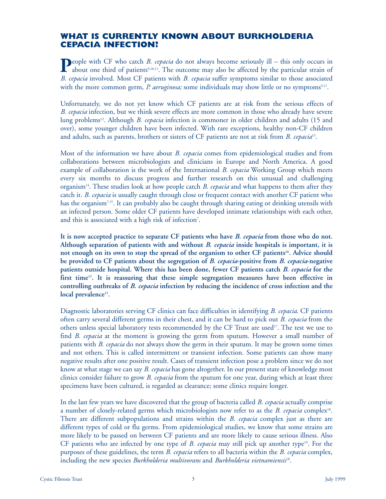# **WHAT IS CURRENTLY KNOWN ABOUT BURKHOLDERIA CEPACIA INFECTION?**

**P**eople with CF who catch *B. cepacia* do not always become seriously ill – this only occurs in about one third of patients<sup>9,10,11</sup>. The outcome may also be affected by the particular strain of *B. cepacia* involved. Most CF patients with *B. cepacia* suffer symptoms similar to those associated with the more common germ, *P. aeruginosa*; some individuals may show little or no symptoms<sup>9,11</sup>.

Unfortunately, we do not yet know which CF patients are at risk from the serious effects of *B. cepacia* infection, but we think severe effects are more common in those who already have severe lung problems12. Although *B. cepacia* infection is commoner in older children and adults (15 and over), some younger children have been infected. With rare exceptions, healthy non-CF children and adults, such as parents, brothers or sisters of CF patients are not at risk from *B. cepacia*13.

Most of the information we have about *B. cepacia* comes from epidemiological studies and from collaborations between microbiologists and clinicians in Europe and North America. A good example of collaboration is the work of the International *B. cepacia* Working Group which meets every six months to discuss progress and further research on this unusual and challenging organism14. These studies look at how people catch *B. cepacia* and what happens to them after they catch it. *B. cepacia* is usually caught through close or frequent contact with another CF patient who has the organism7,15. It can probably also be caught through sharing eating or drinking utensils with an infected person. Some older CF patients have developed intimate relationships with each other, and this is associated with a high risk of infection<sup>7</sup>.

**It is now accepted practice to separate CF patients who have** *B. cepacia* **from those who do not. Although separation of patients with and without** *B. cepacia* **inside hospitals is important, it is** not enough on its own to stop the spread of the organism to other CF patients<sup>16</sup>. Advice should **be provided to CF patients about the segregation of** *B. cepacia***-positive from** *B. cepacia***-negative patients outside hospital. Where this has been done, fewer CF patients catch** *B. cepacia* **for the** first time<sup>11</sup>. It is reassuring that these simple segregation measures have been effective in **controlling outbreaks of** *B. cepacia* **infection by reducing the incidence of cross infection and the** local prevalence<sup>11</sup>.

Diagnostic laboratories serving CF clinics can face difficulties in identifying *B. cepacia*. CF patients often carry several different germs in their chest, and it can be hard to pick out *B. cepacia* from the others unless special laboratory tests recommended by the CF Trust are used<sup>17</sup>. The test we use to find *B. cepacia* at the moment is growing the germ from sputum. However a small number of patients with *B. cepacia* do not always show the germ in their sputum. It may be grown some times and not others. This is called intermittent or transient infection. Some patients can show many negative results after one positive result. Cases of transient infection pose a problem since we do not know at what stage we can say *B. cepacia* has gone altogether. In our present state of knowledge most clinics consider failure to grow *B. cepacia* from the sputum for one year, during which at least three specimens have been cultured, is regarded as clearance; some clinics require longer.

In the last few years we have discovered that the group of bacteria called *B. cepacia* actually comprise a number of closely-related germs which microbiologists now refer to as the *B. cepacia* complex<sup>18</sup>. There are different subpopulations and strains within the *B. cepacia* complex just as there are different types of cold or flu germs. From epidemiological studies, we know that some strains are more likely to be passed on between CF patients and are more likely to cause serious illness. Also CF patients who are infected by one type of *B. cepacia* may still pick up another type<sup>19</sup>. For the purposes of these guidelines, the term *B. cepacia* refers to all bacteria within the *B. cepacia* complex, including the new species *Burkholderia multivorans* and *Burkholderia vietnamiensis*18.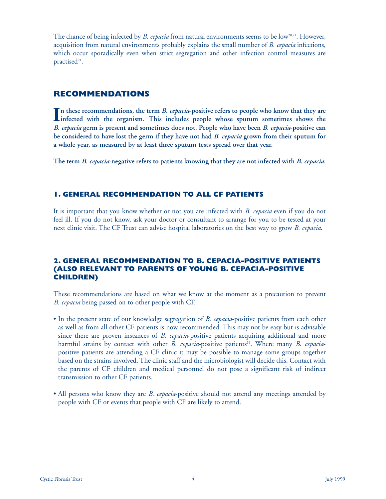The chance of being infected by *B. cepacia* from natural environments seems to be low<sup>20,21</sup>. However, acquisition from natural environments probably explains the small number of *B. cepacia* infections, which occur sporadically even when strict segregation and other infection control measures are practised<sup>21</sup>.

# **RECOMMENDATIONS**

In these recommendations, the term *B. cepacia*-positive refers to people who know that they are<br>infected with the organism. This includes people whose sputum sometimes shows the **infected with the organism. This includes people whose sputum sometimes shows the**  *B. cepacia* **germ is present and sometimes does not. People who have been** *B. cepacia***-positive can be considered to have lost the germ if they have not had** *B. cepacia* **grown from their sputum for a whole year, as measured by at least three sputum tests spread over that year.**

**The term** *B. cepacia***-negative refers to patients knowing that they are not infected with** *B. cepacia***.**

# **1. GENERAL RECOMMENDATION TO ALL CF PATIENTS**

It is important that you know whether or not you are infected with *B. cepacia* even if you do not feel ill. If you do not know, ask your doctor or consultant to arrange for you to be tested at your next clinic visit. The CF Trust can advise hospital laboratories on the best way to grow *B. cepacia*.

# **2. GENERAL RECOMMENDATION TO B. CEPACIA-POSITIVE PATIENTS (ALSO RELEVANT TO PARENTS OF YOUNG B. CEPACIA-POSITIVE CHILDREN)**

These recommendations are based on what we know at the moment as a precaution to prevent *B. cepacia* being passed on to other people with CF.

- In the present state of our knowledge segregation of *B. cepacia*-positive patients from each other as well as from all other CF patients is now recommended. This may not be easy but is advisable since there are proven instances of *B. cepacia*-positive patients acquiring additional and more harmful strains by contact with other *B. cepacia*-positive patients<sup>19</sup>. Where many *B. cepacia*positive patients are attending a CF clinic it may be possible to manage some groups together based on the strains involved. The clinic staff and the microbiologist will decide this. Contact with the parents of CF children and medical personnel do not pose a significant risk of indirect transmission to other CF patients.
- All persons who know they are *B. cepacia*-positive should not attend any meetings attended by people with CF or events that people with CF are likely to attend.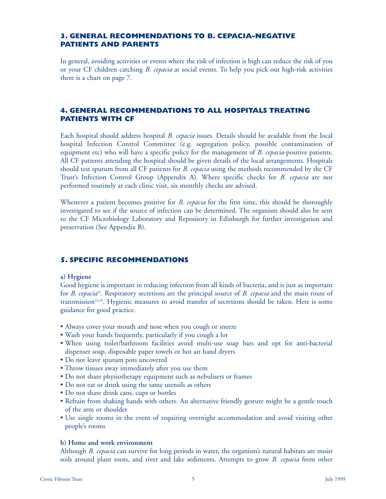# **3. GENERAL RECOMMENDATIONS TO B. CEPACIA-NEGATIVE PATIENTS AND PARENTS**

In general, avoiding activities or events where the risk of infection is high can reduce the risk of you or your CF children catching *B. cepacia* at social events. To help you pick out high-risk activities there is a chart on page 7.

# **4. GENERAL RECOMMENDATIONS TO ALL HOSPITALS TREATING PATIENTS WITH CF**

Each hospital should address hospital *B. cepacia* issues. Details should be available from the local hospital Infection Control Committee (e.g. segregation policy, possible contamination of equipment etc) who will have a specific policy for the management of *B. cepacia*-positive patients. All CF patients attending the hospital should be given details of the local arrangements. Hospitals should test sputum from all CF patients for *B. cepacia* using the methods recommended by the CF Trust's Infection Control Group (Appendix A). Where specific checks for *B. cepacia* are not performed routinely at each clinic visit, six monthly checks are advised.

Whenever a patient becomes positive for *B. cepacia* for the first time, this should be thoroughly investigated to see if the source of infection can be determined. The organism should also be sent to the CF Microbiology Laboratory and Repository in Edinburgh for further investigation and preservation (See Appendix B).

# **5. SPECIFIC RECOMMENDATIONS**

#### **a) Hygiene**

Good hygiene is important in reducing infection from all kinds of bacteria, and is just as important for *B. cepacia*22. Respiratory secretions are the principal source of *B. cepacia* and the main route of transmission<sup>23,24</sup>. Hygienic measures to avoid transfer of secretions should be taken. Here is some guidance for good practice.

- Always cover your mouth and nose when you cough or sneeze
- Wash your hands frequently, particularly if you cough a lot
- When using toilet/bathroom facilities avoid multi-use soap bars and opt for anti-bacterial dispenser soap, disposable paper towels or hot air hand dryers
- Do not leave sputum pots uncovered
- Throw tissues away immediately after you use them
- Do not share physiotherapy equipment such as nebulisers or frames
- Do not eat or drink using the same utensils as others
- Do not share drink cans, cups or bottles
- Refrain from shaking hands with others. An alternative friendly gesture might be a gentle touch of the arm or shoulder
- Use single rooms in the event of requiring overnight accommodation and avoid visiting other people's rooms

#### **b) Home and work environment**

Although *B. cepacia* can survive for long periods in water, the organism's natural habitats are moist soils around plant roots, and river and lake sediments. Attempts to grow *B. cepacia* from other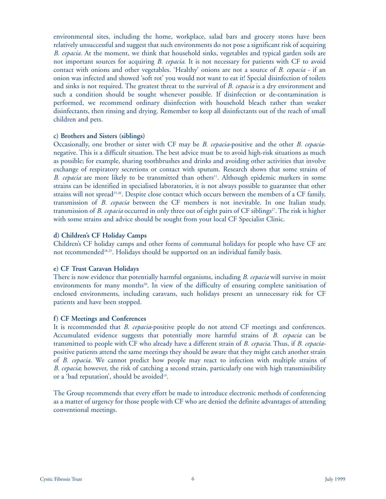environmental sites, including the home, workplace, salad bars and grocery stores have been relatively unsuccessful and suggest that such environments do not pose a significant risk of acquiring *B. cepacia.* At the moment, we think that household sinks, vegetables and typical garden soils are not important sources for acquiring *B. cepacia*. It is not necessary for patients with CF to avoid contact with onions and other vegetables. 'Healthy' onions are not a source of *B. cepacia* - if an onion was infected and showed 'soft rot' you would not want to eat it! Special disinfection of toilets and sinks is not required. The greatest threat to the survival of *B. cepacia* is a dry environment and such a condition should be sought whenever possible. If disinfection or de-contamination is performed, we recommend ordinary disinfection with household bleach rather than weaker disinfectants, then rinsing and drying. Remember to keep all disinfectants out of the reach of small children and pets.

#### **c) Brothers and Sisters (siblings)**

Occasionally, one brother or sister with CF may be *B. cepacia*-positive and the other *B. cepacia*negative. This is a difficult situation. The best advice must be to avoid high-risk situations as much as possible; for example, sharing toothbrushes and drinks and avoiding other activities that involve exchange of respiratory secretions or contact with sputum. Research shows that some strains of *B. cepacia* are more likely to be transmitted than others<sup>11</sup>. Although epidemic markers in some strains can be identified in specialised laboratories, it is not always possible to guarantee that other strains will not spread<sup>25,26</sup>. Despite close contact which occurs between the members of a CF family, transmission of *B. cepacia* between the CF members is not inevitable. In one Italian study, transmission of *B. cepacia* occurred in only three out of eight pairs of CF siblings<sup>27</sup>. The risk is higher with some strains and advice should be sought from your local CF Specialist Clinic.

#### **d) Children's CF Holiday Camps**

Children's CF holiday camps and other forms of communal holidays for people who have CF are not recommended<sup>28,29</sup>. Holidays should be supported on an individual family basis.

#### **e) CF Trust Caravan Holidays**

There is now evidence that potentially harmful organisms, including *B. cepacia* will survive in moist environments for many months<sup>30</sup>. In view of the difficulty of ensuring complete sanitisation of enclosed environments, including caravans, such holidays present an unnecessary risk for CF patients and have been stopped.

#### **f) CF Meetings and Conferences**

It is recommended that *B. cepacia*-positive people do not attend CF meetings and conferences. Accumulated evidence suggests that potentially more harmful strains of *B. cepacia* can be transmitted to people with CF who already have a different strain of *B. cepacia*. Thus, if *B. cepacia*positive patients attend the same meetings they should be aware that they might catch another strain of *B. cepacia*. We cannot predict how people may react to infection with multiple strains of *B. cepacia*; however, the risk of catching a second strain, particularly one with high transmissibility or a 'bad reputation', should be avoided<sup>19</sup>.

The Group recommends that every effort be made to introduce electronic methods of conferencing as a matter of urgency for those people with CF who are denied the definite advantages of attending conventional meetings.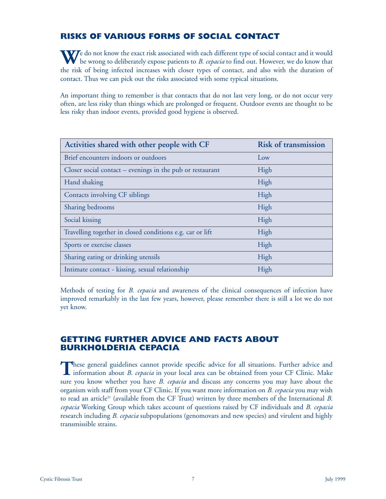# **RISKS OF VARIOUS FORMS OF SOCIAL CONTACT**

We do not know the exact risk associated with each different type of social contact and it would<br>be wrong to deliberately expose patients to *B. cepacia* to find out. However, we do know that the risk of being infected increases with closer types of contact, and also with the duration of contact. Thus we can pick out the risks associated with some typical situations.

An important thing to remember is that contacts that do not last very long, or do not occur very often, are less risky than things which are prolonged or frequent. Outdoor events are thought to be less risky than indoor events, provided good hygiene is observed.

| Activities shared with other people with CF               | <b>Risk of transmission</b> |
|-----------------------------------------------------------|-----------------------------|
| Brief encounters indoors or outdoors                      | Low                         |
| Closer social contact – evenings in the pub or restaurant | High                        |
| Hand shaking                                              | High                        |
| Contacts involving CF siblings                            | High                        |
| Sharing bedrooms                                          | High                        |
| Social kissing                                            | High                        |
| Travelling together in closed conditions e.g. car or lift | High                        |
| Sports or exercise classes                                | High                        |
| Sharing eating or drinking utensils                       | High                        |
| Intimate contact - kissing, sexual relationship           | High                        |

Methods of testing for *B. cepacia* and awareness of the clinical consequences of infection have improved remarkably in the last few years, however, please remember there is still a lot we do not yet know.

# **GETTING FURTHER ADVICE AND FACTS ABOUT BURKHOLDERIA CEPACIA**

These general guidelines cannot provide specific advice for all situations. Further advice and information about *B. cepacia* in your local area can be obtained from your CF Clinic. Make sure you know whether you have *B. cepacia* and discuss any concerns you may have about the organism with staff from your CF Clinic. If you want more information on *B. cepacia* you may wish to read an article31 (available from the CF Trust) written by three members of the International *B. cepacia* Working Group which takes account of questions raised by CF individuals and *B. cepacia* research including *B. cepacia* subpopulations (genomovars and new species) and virulent and highly transmissible strains.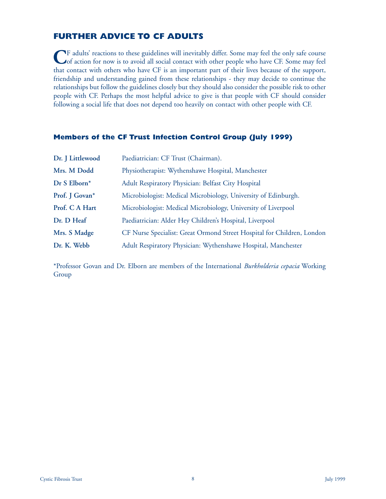# **FURTHER ADVICE TO CF ADULTS**

**C**F adults' reactions to these guidelines will inevitably differ. Some may feel the only safe course<br>of action for now is to avoid all social contact with other people who have CF. Some may feel that contact with others who have CF is an important part of their lives because of the support, friendship and understanding gained from these relationships - they may decide to continue the relationships but follow the guidelines closely but they should also consider the possible risk to other people with CF. Perhaps the most helpful advice to give is that people with CF should consider following a social life that does not depend too heavily on contact with other people with CF.

#### **Members of the CF Trust Infection Control Group (July 1999)**

| Dr. J Littlewood | Paediatrician: CF Trust (Chairman).                                    |  |
|------------------|------------------------------------------------------------------------|--|
| Mrs. M Dodd      | Physiotherapist: Wythenshawe Hospital, Manchester                      |  |
| Dr S Elborn*     | Adult Respiratory Physician: Belfast City Hospital                     |  |
| Prof. J Govan*   | Microbiologist: Medical Microbiology, University of Edinburgh.         |  |
| Prof. C A Hart   | Microbiologist: Medical Microbiology, University of Liverpool          |  |
| Dr. D Heaf       | Paediatrician: Alder Hey Children's Hospital, Liverpool                |  |
| Mrs. S Madge     | CF Nurse Specialist: Great Ormond Street Hospital for Children, London |  |
| Dr. K. Webb      | Adult Respiratory Physician: Wythenshawe Hospital, Manchester          |  |

\*Professor Govan and Dr. Elborn are members of the International *Burkholderia cepacia* Working Group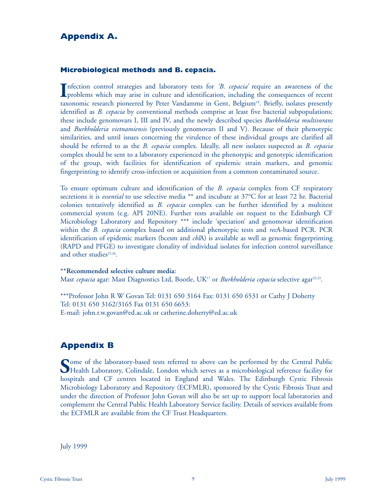# **Appendix A.**

#### **Microbiological methods and B. cepacia.**

Infection control strategies and laboratory tests for *'B. cepacia'* require an awareness of the problems which may arise in culture and identification, including the consequences of recent nfection control strategies and laboratory tests for *'B. cepacia'* require an awareness of the taxonomic research pioneered by Peter Vandamme in Gent, Belgium<sup>18</sup>. Briefly, isolates presently identified as *B. cepacia* by conventional methods comprise at least five bacterial subpopulations; these include genomovars I, III and IV, and the newly described species *Burkholderia multivorans* and *Burkholderia vietnamiensis* (previously genomovars II and V). Because of their phenotypic similarities, and until issues concerning the virulence of these individual groups are clarified all should be referred to as the *B. cepacia* complex. Ideally, all new isolates suspected as *B. cepacia* complex should be sent to a laboratory experienced in the phenotypic and genotypic identification of the group, with facilities for identification of epidemic strain markers, and genomic fingerprinting to identify cross-infection or acquisition from a common contaminated source.

To ensure optimum culture and identification of the *B. cepacia* complex from CF respiratory secretions it is *essential* to use selective media \*\* and incubate at 37°C for at least 72 hr. Bacterial colonies tentatively identified as *B. cepacia* complex can be further identified by a multitest commercial system (e.g. API 20NE). Further tests available on request to the Edinburgh CF Microbiology Laboratory and Repository \*\*\* include 'speciation' and genomovar identification within the *B. cepacia* complex based on additional phenotypic tests and *rec*A-based PCR. PCR identification of epidemic markers (bcesm and *cbl*A) is available as well as genomic fingerprinting (RAPD and PFGE) to investigate clonality of individual isolates for infection control surveillance and other studies $25,26$ .

#### **\*\*Recommended selective culture media:**

Mast *cepacia* agar: Mast Diagnostics Ltd, Bootle, UK<sup>17</sup> or *Burkholderia cepacia* selective agar<sup>32,33</sup>.

\*\*\*Professor John R W Govan Tel: 0131 650 3164 Fax: 0131 650 6531 or Cathy J Doherty Tel: 0131 650 3162/3165 Fax 0131 650 6653: E-mail: john.r.w.govan@ed.ac.uk or catherine.doherty@ed.ac.uk

# **Appendix B**

**S**ome of the laboratory-based tests referred to above can be performed by the Central Public Health Laboratory, Colindale, London which serves as a microbiological reference facility for hospitals and CF centres located in England and Wales. The Edinburgh Cystic Fibrosis Microbiology Laboratory and Repository (ECFMLR), sponsored by the Cystic Fibrosis Trust and under the direction of Professor John Govan will also be set up to support local laboratories and complement the Central Public Health Laboratory Service facility. Details of services available from the ECFMLR are available from the CF Trust Headquarters.

July 1999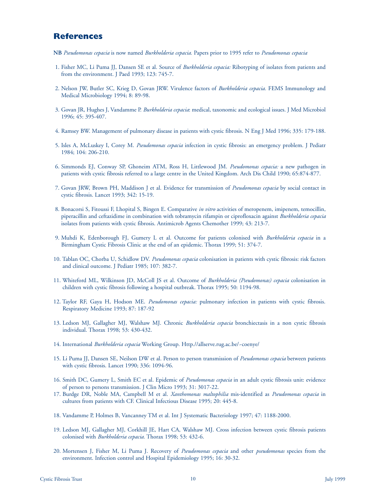# **References**

- **NB** *Pseudomonas cepacia* is now named *Burkholderia cepacia.* Papers prior to 1995 refer to *Pseudomonas cepacia*
- 1. Fisher MC, Li Puma JJ, Dansen SE et al. Source of *Burkholderia cepacia:* Ribotyping of isolates from patients and from the environment. J Paed 1993; 123: 745-7.
- 2. Nelson JW, Butler SC, Krieg D, Govan JRW. Virulence factors of *Burkholderia cepacia.* FEMS Immunology and Medical Microbiology 1994; 8: 89-98.
- 3. Govan JR, Hughes J, Vandamme P. *Burkholderia cepacia*: medical, taxonomic and ecological issues. J Med Microbiol 1996; 45: 395-407.
- 4. Ramsey BW. Management of pulmonary disease in patients with cystic fibrosis. N Eng J Med 1996; 335: 179-188.
- 5. Isles A, McLuskey I, Corey M. *Pseudomonas cepacia* infection in cystic fibrosis: an emergency problem. J Pediatr 1984; 104: 206-210.
- 6. Simmonds EJ, Conway SP, Ghoneim ATM, Ross H, Littlewood JM. *Pseudomonas cepacia:* a new pathogen in patients with cystic fibrosis referred to a large centre in the United Kingdom. Arch Dis Child 1990; 65:874-877.
- 7. Govan JRW, Brown PH, Maddison J et al. Evidence for transmission of *Pseudomonas cepacia* by social contact in cystic fibrosis. Lancet 1993; 342: 15-19.
- 8. Bonacorsi S, Fitoussi F, Lhopital S, Bingen E. Comparative *in vitro* activities of meropenem, imipenem, temocillin, piperacillin and ceftazidime in combination with tobramycin rifampin or ciprofloxacin against *Burkholderia cepacia* isolates from patients with cystic fibrosis. Antimicrob Agents Chemother 1999; 43: 213-7.
- 9. Muhdi K, Edenborough FJ, Gumery L et al. Outcome for patients colonised with *Burkholderia cepacia* in a Birmingham Cystic Fibrosis Clinic at the end of an epidemic. Thorax 1999; 51: 374-7.
- 10. Tablan OC, Chorba U, Schidlow DV. *Pseudomonas cepacia* colonisation in patients with cystic fibrosis: risk factors and clinical outcome. J Pediatr 1985; 107: 382-7.
- 11. Whiteford ML, Wilkinson JD, McColl JS et al. Outcome of *Burkholderia (Pseudomonas) cepacia* colonisation in children with cystic fibrosis following a hospital outbreak. Thorax 1995; 50: 1194-98.
- 12. Taylor RF, Gaya H, Hodson ME. *Pseudomonas cepacia:* pulmonary infection in patients with cystic fibrosis. Respiratory Medicine 1993; 87: 187-92
- 13. Ledson MJ, Gallagher MJ, Walshaw MJ. Chronic *Burkholderia cepacia* bronchiectasis in a non cystic fibrosis individual. Thorax 1998; 53: 430-432.
- 14. International *Burkholderia cepacia* Working Group. Http.//allserve.rug.ac.be/~coenye/
- 15. Li Puma JJ, Dansen SE, Neilson DW et al. Person to person transmission of *Pseudomonas cepacia* between patients with cystic fibrosis. Lancet 1990; 336: 1094-96.
- 16. Smith DC, Gumery L, Smith EC et al. Epidemic of *Pseudomonas cepacia* in an adult cystic fibrosis unit: evidence of person to persons transmission. J Clin Micro 1993; 31: 3017-22.
- 17. Burdge DR, Noble MA, Campbell M et al. *Xanthomonas maltophilia* mis-identified as *Pseudomonas cepacia* in cultures from patients with CF. Clinical Infectious Disease 1995; 20: 445-8.
- 18. Vandamme P, Holmes B, Vancanney TM et al. Int J Systematic Bacteriology 1997; 47: 1188-2000.
- 19. Ledson MJ, Gallagher MJ, Corkhill JE, Hart CA, Walshaw MJ. Cross infection between cystic fibrosis patients colonised with *Burkholderia cepacia.* Thorax 1998; 53: 432-6.
- 20. Mortensen J, Fisher M, Li Puma J. Recovery of *Pseudomonas cepacia* and other *pseudomonas* species from the environment. Infection control and Hospital Epidemiology 1995; 16: 30-32.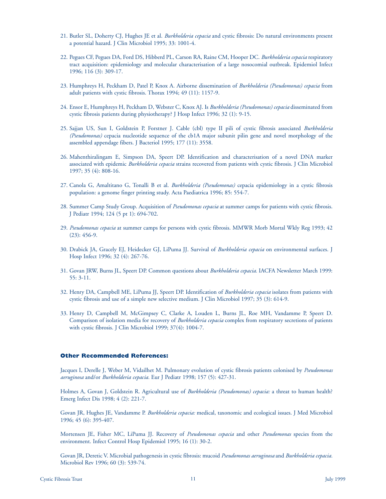- 21. Butler SL, Doherty CJ, Hughes JE et al. *Burkholderia cepacia* and cystic fibrosis: Do natural environments present a potential hazard. J Clin Microbiol 1995; 33: 1001-4.
- 22. Pegues CF, Pegues DA, Ford DS, Hibberd PL, Carson RA, Raine CM, Hooper DC. *Burkholderia cepacia* respiratory tract acquisition: epidemiology and molecular characterisation of a large nosocomial outbreak. Epidemiol Infect 1996; 116 (3): 309-17.
- 23. Humphreys H, Peckham D, Patel P, Knox A. Airborne dissemination of *Burkholderia (Pseudomonas) cepacia* from adult patients with cystic fibrosis. Thorax 1994; 49 (11): 1157-9.
- 24. Ensor E, Humphreys H, Peckham D, Webster C, Knox AJ. Is *Burkholderia (Pseudomonas) cepacia* disseminated from cystic fibrosis patients during physiotherapy? J Hosp Infect 1996; 32 (1): 9-15.
- 25. Sajjan US, Sun I, Goldstein P, Forstner J. Cable (cbl) type II pili of cystic fibrosis associated *Burkholderia (Pseudomonas)* cepacia nucleotide sequence of the cb1A major subunit pilin gene and novel morphology of the assembled appendage fibers. J Bacteriol 1995; 177 (11): 3558.
- 26. Mahenthiralingam E, Simpson DA, Speert DP. Identification and characterisation of a novel DNA marker associated with epidemic *Burkholderia cepacia* strains recovered from patients with cystic fibrosis. J Clin Microbiol 1997; 35 (4): 808-16.
- 27. Canola G, Amaltitano G, Tonalli B et al. *Burkholderia (Pseudomonas)* cepacia epidemiology in a cystic fibrosis population: a genome finger printing study. Acta Paediatrica 1996; 85: 554-7.
- 28. Summer Camp Study Group. Acquisition of *Pseudomonas cepacia* at summer camps for patients with cystic fibrosis. J Pediatr 1994; 124 (5 pt 1): 694-702.
- 29. *Pseudomonas cepacia* at summer camps for persons with cystic fibrosis. MMWR Morb Mortal Wkly Reg 1993; 42 (23): 456-9.
- 30. Drabick JA, Gracely EJ, Heidecker GJ, LiPuma JJ. Survival of *Burkholderia cepacia* on environmental surfaces. J Hosp Infect 1996; 32 (4): 267-76.
- 31. Govan JRW, Burns JL, Speert DP. Common questions about *Burkholderia cepacia.* IACFA Newsletter March 1999: 55: 3-11.
- 32. Henry DA, Campbell ME, LiPuma JJ, Speert DP. Identification of *Burkholderia cepacia* isolates from patients with cystic fibrosis and use of a simple new selective medium. J Clin Microbiol 1997; 35 (3): 614-9.
- 33. Henry D, Campbell M, McGimpsey C, Clarke A, Louden L, Burns JL, Roe MH, Vandamme P, Speert D. Comparison of isolation media for recovery of *Burkholderia cepacia* complex from respiratory secretions of patients with cystic fibrosis. J Clin Microbiol 1999; 37(4): 1004-7.

#### **Other Recommended References:**

Jacques I, Derelle J, Weber M, Vidailhet M. Pulmonary evolution of cystic fibrosis patients colonised by *Pseudomonas aeruginosa* and/or *Burkholderia cepacia.* Eur J Pediatr 1998; 157 (5): 427-31.

Holmes A, Govan J, Goldstein R. Agricultural use of *Burkholderia (Pseudomonas) cepacia:* a threat to human health? Emerg Infect Dis 1998; 4 (2): 221-7.

Govan JR, Hughes JE, Vandamme P. *Burkholderia cepacia:* medical, taxonomic and ecological issues. J Med Microbiol 1996; 45 (6): 395-407.

Mortensen JE, Fisher MC, LiPuma JJ. Recovery of *Pseudomonas cepacia* and other *Pseudomonas* species from the environment. Infect Control Hosp Epidemiol 1995; 16 (1): 30-2.

Govan JR, Deretic V. Microbial pathogenesis in cystic fibrosis: mucoid *Pseudomonas aeruginosa* and *Burkholderia cepacia.* Microbiol Rev 1996; 60 (3): 539-74.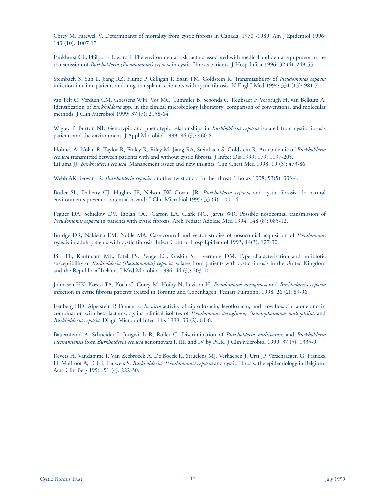Corey M, Farewell V. Determinants of mortality from cystic fibrosis in Canada, 1970 -1989. Am J Epidemiol 1996; 143 (10): 1007-17.

Pankhurst CL, Philpott-Howard J. The environmental risk factors associated with medical and dental equipment in the transmission of *Burkholderia (Pseudomonas) cepacia* in cystic fibrosis patients. J Hosp Infect 1996; 32 (4): 249-55.

Steinbach S, Sun L, Jiang RZ, Flume P, Gilligan P, Egan TM, Goldstein R. Transmissibility of *Pseudomonas cepacia* infection in clinic patients and lung-transplant recipients with cystic fibrosis. N Engl J Med 1994; 331 (15): 981-7.

van Pelt C, Verduin CM, Goessens WH, Vos MC, Tummler B, Segonds C, Reubsaet F, Verbrugh H, van Belkum A. Identification of *Burkholderia* spp. in the clinical microbiology laboratory: comparison of conventional and molecular methods. J Clin Microbiol 1999; 37 (7): 2158-64.

Wigley P, Burton NF. Genotypic and phenotypic relationships in *Burkholderia cepacia* isolated from cystic fibrosis patients and the environment. J Appl Microbiol 1999; 86 (3): 460-8.

Holmes A, Nolan R, Taylor R, Finley R, Riley M, Jiang RA, Steinbach S, Goldstein R. An epidemic of *Burkholderia cepacia* transmitted between patients with and without cystic fibrosis. J Infect Dis 1999; 179: 1197-205. LiPuma JJ. *Burkholderia cepacia.* Management issues and new insights. Clin Chest Med 1998; 19 (3): 473-86.

Webb AK, Govan JR. *Burkholderia cepacia:* another twist and a further threat. Thorax 1998; 53(5): 333-4.

Butler SL, Doherty CJ, Hughes JE, Nelson JW, Govan JR. *Burkholderia cepacia* and cystic fibrosis: do natural environments present a potential hazard? J Clin Microbiol 1995; 33 (4): 1001-4.

Pegues DA, Schidlow DV, Tablan OC, Carson LA, Clark NC, Jarvis WR. Possible nosocomial transmission of *Pseudomonas cepacia* in patients with cystic fibrosis. Arch Pediatr Adolesc Med 1994; 148 (8): 085-12.

Burdge DR, Nakielna EM, Noble MA. Case-control and vector studies of nosocomial acquisition of *Pseudomonas cepacia* in adult patients with cystic fibrosis. Infect Control Hosp Epidemiol 1993; 14(3): 127-30.

Pitt TL, Kaufmann ME, Patel PS, Benge LC, Gaskin S, Livermore DM. Type characterisation and antibiotic susceptibility of *Burkholderia (Pseudomonas) cepacia* isolates from patients with cystic fibrosis in the United Kingdom and the Republic of Ireland. J Med Microbiol 1996; 44 (3): 203-10.

Johnasen HK, Kovesi TA, Koch C, Corey M, Hoiby N, Levison H. *Pseudomonas aeruginosa* and *Burkholderia cepacia* infection in cystic fibrosis patients treated in Toronto and Copenhagen. Pediatr Pulmonol 1998; 26 (2): 89-96.

Isenberg HD, Alperstein P, France K. *In vitro* activity of ciprofloxacin, levofloxacin, and trovafloxacin, alone and in combination with beta-lactams, against clinical isolates of *Pseudomonas aeruginosa, Stenotophomonas maltophilia,* and *Burkholderia cepacia.* Diagn Microbiol Infect Dis 1999; 33 (2): 81-6.

Bauernfeind A, Schneider I, Jungwirth R, Roller C. Discrimination of *Burkholderia multivorans* and *Burkholderia vietnamiensis* from *Burkholderia cepacia* genomovars I, III, and IV by PCR. J Clin Microbiol 1999; 37 (5): 1335-9.

Revets H, Vandamme P, Van Zeebroeck A, De Boeck K, Struelens MJ, Verhaegen J, Ursi JP, Verschraegen G, Franckx H, Malfroot A, Dab I, Lauwers S. *Burkholderia (Pseudomonas) cepacia* and cystic fibrosis: the epidemiology in Belgium. Acta Clin Belg 1996; 51 (4): 222-30.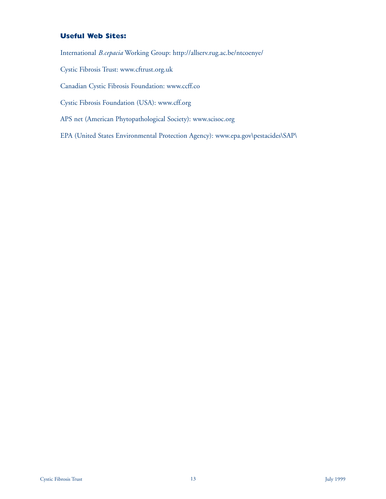# **Useful Web Sites:**

International *B.cepacia* Working Group: http://allserv.rug.ac.be/ntcoenye/

Cystic Fibrosis Trust: www.cftrust.org.uk

Canadian Cystic Fibrosis Foundation: www.ccff.co

Cystic Fibrosis Foundation (USA): www.cff.org

APS net (American Phytopathological Society): www.scisoc.org

EPA (United States Environmental Protection Agency): www.epa.gov\pestacides\SAP\